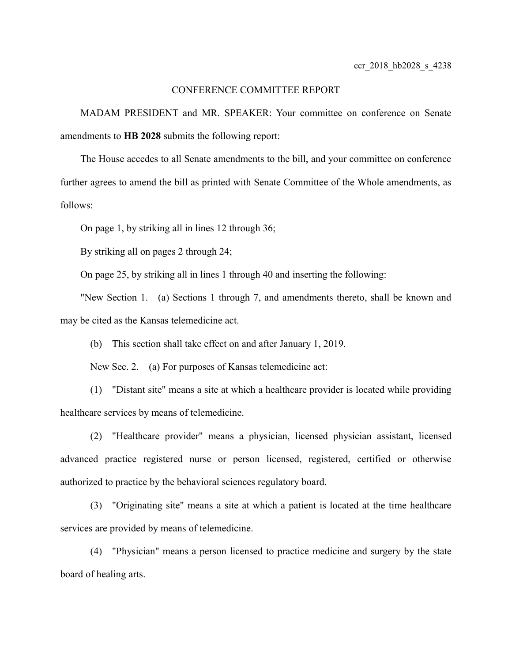## CONFERENCE COMMITTEE REPORT

MADAM PRESIDENT and MR. SPEAKER: Your committee on conference on Senate amendments to **HB 2028** submits the following report:

The House accedes to all Senate amendments to the bill, and your committee on conference further agrees to amend the bill as printed with Senate Committee of the Whole amendments, as follows:

On page 1, by striking all in lines 12 through 36;

By striking all on pages 2 through 24;

On page 25, by striking all in lines 1 through 40 and inserting the following:

"New Section 1. (a) Sections 1 through 7, and amendments thereto, shall be known and may be cited as the Kansas telemedicine act.

(b) This section shall take effect on and after January 1, 2019.

New Sec. 2. (a) For purposes of Kansas telemedicine act:

(1) "Distant site" means a site at which a healthcare provider is located while providing healthcare services by means of telemedicine.

(2) "Healthcare provider" means a physician, licensed physician assistant, licensed advanced practice registered nurse or person licensed, registered, certified or otherwise authorized to practice by the behavioral sciences regulatory board.

(3) "Originating site" means a site at which a patient is located at the time healthcare services are provided by means of telemedicine.

(4) "Physician" means a person licensed to practice medicine and surgery by the state board of healing arts.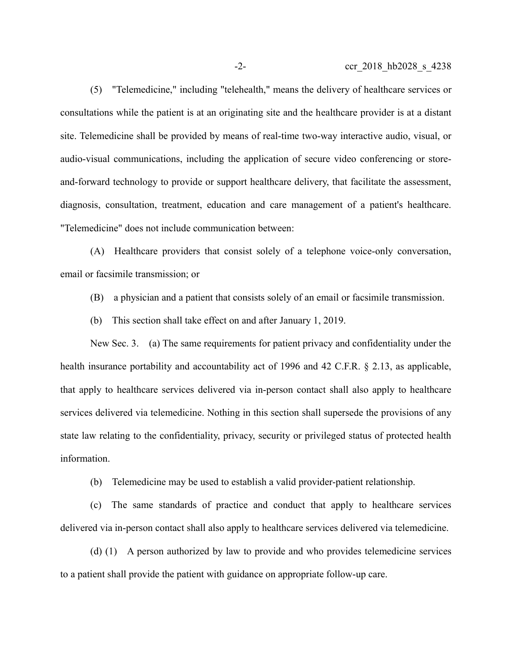(5) "Telemedicine," including "telehealth," means the delivery of healthcare services or consultations while the patient is at an originating site and the healthcare provider is at a distant site. Telemedicine shall be provided by means of real-time two-way interactive audio, visual, or audio-visual communications, including the application of secure video conferencing or storeand-forward technology to provide or support healthcare delivery, that facilitate the assessment, diagnosis, consultation, treatment, education and care management of a patient's healthcare. "Telemedicine" does not include communication between:

(A) Healthcare providers that consist solely of a telephone voice-only conversation, email or facsimile transmission; or

(B) a physician and a patient that consists solely of an email or facsimile transmission.

(b) This section shall take effect on and after January 1, 2019.

New Sec. 3. (a) The same requirements for patient privacy and confidentiality under the health insurance portability and accountability act of 1996 and 42 C.F.R. § 2.13, as applicable, that apply to healthcare services delivered via in-person contact shall also apply to healthcare services delivered via telemedicine. Nothing in this section shall supersede the provisions of any state law relating to the confidentiality, privacy, security or privileged status of protected health information.

(b) Telemedicine may be used to establish a valid provider-patient relationship.

(c) The same standards of practice and conduct that apply to healthcare services delivered via in-person contact shall also apply to healthcare services delivered via telemedicine.

(d) (1) A person authorized by law to provide and who provides telemedicine services to a patient shall provide the patient with guidance on appropriate follow-up care.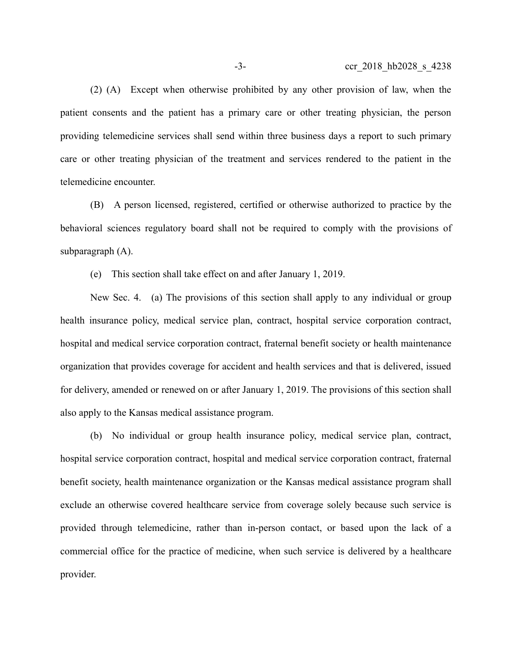(2) (A) Except when otherwise prohibited by any other provision of law, when the patient consents and the patient has a primary care or other treating physician, the person providing telemedicine services shall send within three business days a report to such primary care or other treating physician of the treatment and services rendered to the patient in the telemedicine encounter.

(B) A person licensed, registered, certified or otherwise authorized to practice by the behavioral sciences regulatory board shall not be required to comply with the provisions of subparagraph (A).

(e) This section shall take effect on and after January 1, 2019.

New Sec. 4. (a) The provisions of this section shall apply to any individual or group health insurance policy, medical service plan, contract, hospital service corporation contract, hospital and medical service corporation contract, fraternal benefit society or health maintenance organization that provides coverage for accident and health services and that is delivered, issued for delivery, amended or renewed on or after January 1, 2019. The provisions of this section shall also apply to the Kansas medical assistance program.

(b) No individual or group health insurance policy, medical service plan, contract, hospital service corporation contract, hospital and medical service corporation contract, fraternal benefit society, health maintenance organization or the Kansas medical assistance program shall exclude an otherwise covered healthcare service from coverage solely because such service is provided through telemedicine, rather than in-person contact, or based upon the lack of a commercial office for the practice of medicine, when such service is delivered by a healthcare provider.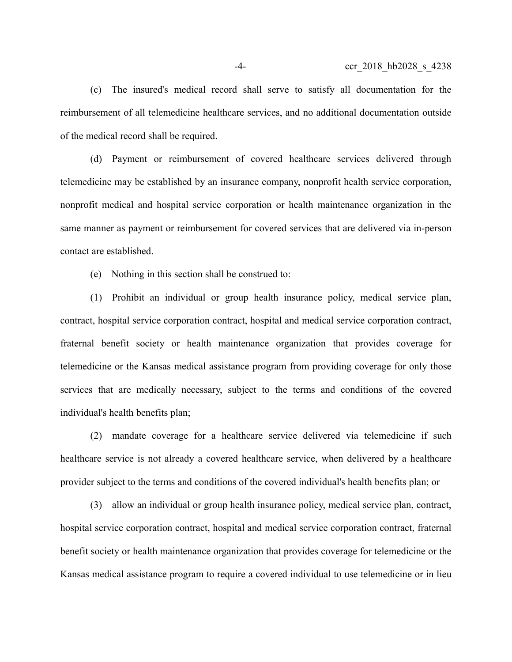(c) The insured's medical record shall serve to satisfy all documentation for the reimbursement of all telemedicine healthcare services, and no additional documentation outside of the medical record shall be required.

(d) Payment or reimbursement of covered healthcare services delivered through telemedicine may be established by an insurance company, nonprofit health service corporation, nonprofit medical and hospital service corporation or health maintenance organization in the same manner as payment or reimbursement for covered services that are delivered via in-person contact are established.

(e) Nothing in this section shall be construed to:

(1) Prohibit an individual or group health insurance policy, medical service plan, contract, hospital service corporation contract, hospital and medical service corporation contract, fraternal benefit society or health maintenance organization that provides coverage for telemedicine or the Kansas medical assistance program from providing coverage for only those services that are medically necessary, subject to the terms and conditions of the covered individual's health benefits plan;

(2) mandate coverage for a healthcare service delivered via telemedicine if such healthcare service is not already a covered healthcare service, when delivered by a healthcare provider subject to the terms and conditions of the covered individual's health benefits plan; or

(3) allow an individual or group health insurance policy, medical service plan, contract, hospital service corporation contract, hospital and medical service corporation contract, fraternal benefit society or health maintenance organization that provides coverage for telemedicine or the Kansas medical assistance program to require a covered individual to use telemedicine or in lieu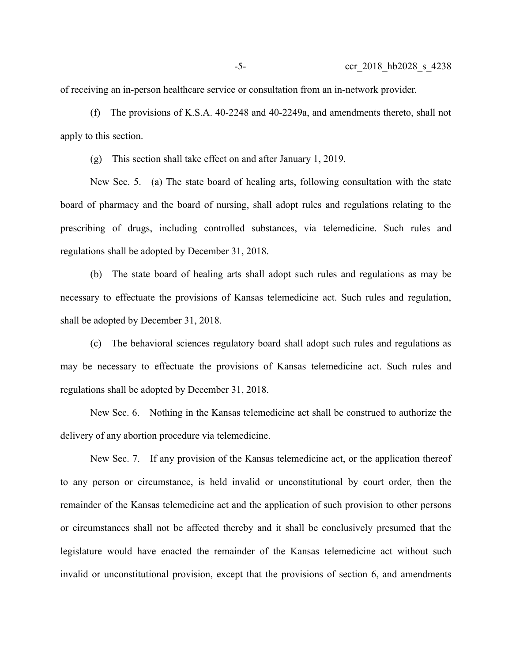of receiving an in-person healthcare service or consultation from an in-network provider.

(f) The provisions of K.S.A. 40-2248 and 40-2249a, and amendments thereto, shall not apply to this section.

(g) This section shall take effect on and after January 1, 2019.

New Sec. 5. (a) The state board of healing arts, following consultation with the state board of pharmacy and the board of nursing, shall adopt rules and regulations relating to the prescribing of drugs, including controlled substances, via telemedicine. Such rules and regulations shall be adopted by December 31, 2018.

(b) The state board of healing arts shall adopt such rules and regulations as may be necessary to effectuate the provisions of Kansas telemedicine act. Such rules and regulation, shall be adopted by December 31, 2018.

(c) The behavioral sciences regulatory board shall adopt such rules and regulations as may be necessary to effectuate the provisions of Kansas telemedicine act. Such rules and regulations shall be adopted by December 31, 2018.

New Sec. 6. Nothing in the Kansas telemedicine act shall be construed to authorize the delivery of any abortion procedure via telemedicine.

New Sec. 7. If any provision of the Kansas telemedicine act, or the application thereof to any person or circumstance, is held invalid or unconstitutional by court order, then the remainder of the Kansas telemedicine act and the application of such provision to other persons or circumstances shall not be affected thereby and it shall be conclusively presumed that the legislature would have enacted the remainder of the Kansas telemedicine act without such invalid or unconstitutional provision, except that the provisions of section 6, and amendments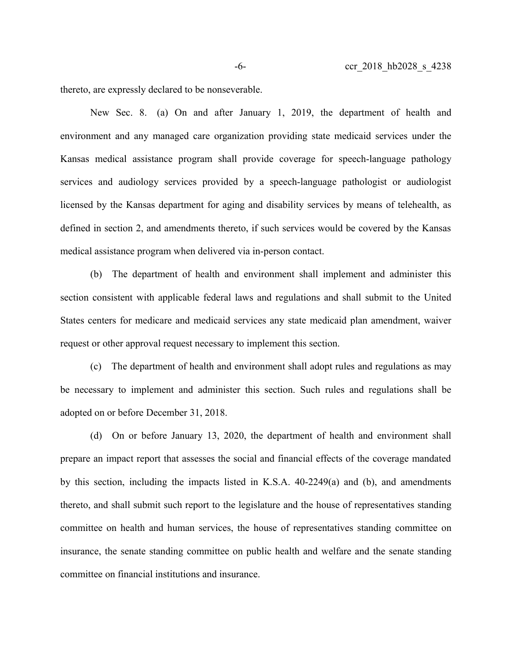thereto, are expressly declared to be nonseverable.

New Sec. 8. (a) On and after January 1, 2019, the department of health and environment and any managed care organization providing state medicaid services under the Kansas medical assistance program shall provide coverage for speech-language pathology services and audiology services provided by a speech-language pathologist or audiologist licensed by the Kansas department for aging and disability services by means of telehealth, as defined in section 2, and amendments thereto, if such services would be covered by the Kansas medical assistance program when delivered via in-person contact.

(b) The department of health and environment shall implement and administer this section consistent with applicable federal laws and regulations and shall submit to the United States centers for medicare and medicaid services any state medicaid plan amendment, waiver request or other approval request necessary to implement this section.

(c) The department of health and environment shall adopt rules and regulations as may be necessary to implement and administer this section. Such rules and regulations shall be adopted on or before December 31, 2018.

(d) On or before January 13, 2020, the department of health and environment shall prepare an impact report that assesses the social and financial effects of the coverage mandated by this section, including the impacts listed in K.S.A. 40-2249(a) and (b), and amendments thereto, and shall submit such report to the legislature and the house of representatives standing committee on health and human services, the house of representatives standing committee on insurance, the senate standing committee on public health and welfare and the senate standing committee on financial institutions and insurance.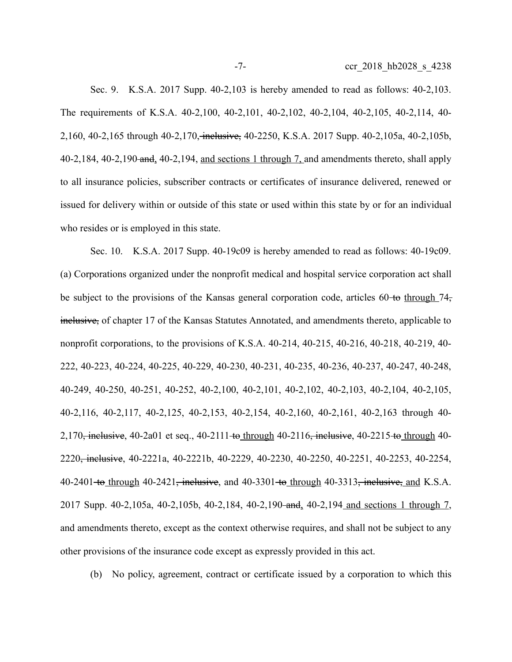-7- ccr 2018 hb2028 s 4238

Sec. 9. K.S.A. 2017 Supp. 40-2,103 is hereby amended to read as follows: 40-2,103. The requirements of K.S.A. 40-2,100, 40-2,101, 40-2,102, 40-2,104, 40-2,105, 40-2,114, 40- 2,160, 40-2,165 through 40-2,170, inclusive, 40-2250, K.S.A. 2017 Supp. 40-2,105a, 40-2,105b, 40-2,184, 40-2,190 and, 40-2,194, and sections 1 through 7, and amendments thereto, shall apply to all insurance policies, subscriber contracts or certificates of insurance delivered, renewed or issued for delivery within or outside of this state or used within this state by or for an individual who resides or is employed in this state.

Sec. 10. K.S.A. 2017 Supp. 40-19c09 is hereby amended to read as follows: 40-19c09. (a) Corporations organized under the nonprofit medical and hospital service corporation act shall be subject to the provisions of the Kansas general corporation code, articles  $60$ -to through  $74$ , inclusive, of chapter 17 of the Kansas Statutes Annotated, and amendments thereto, applicable to nonprofit corporations, to the provisions of K.S.A. 40-214, 40-215, 40-216, 40-218, 40-219, 40- 222, 40-223, 40-224, 40-225, 40-229, 40-230, 40-231, 40-235, 40-236, 40-237, 40-247, 40-248, 40-249, 40-250, 40-251, 40-252, 40-2,100, 40-2,101, 40-2,102, 40-2,103, 40-2,104, 40-2,105, 40-2,116, 40-2,117, 40-2,125, 40-2,153, 40-2,154, 40-2,160, 40-2,161, 40-2,163 through 40- 2,170<del>, inclusive</del>, 40-2a01 et seq., 40-2111 to through 40-2116<del>, inclusive</del>, 40-2215 to through 40-2220, inclusive, 40-2221a, 40-2221b, 40-2229, 40-2230, 40-2250, 40-2251, 40-2253, 40-2254, 40-2401 to through 40-2421, inclusive, and 40-3301 to through 40-3313, inclusive, and K.S.A. 2017 Supp. 40-2,105a, 40-2,105b, 40-2,184, 40-2,190 and, 40-2,194 and sections 1 through 7, and amendments thereto, except as the context otherwise requires, and shall not be subject to any other provisions of the insurance code except as expressly provided in this act.

(b) No policy, agreement, contract or certificate issued by a corporation to which this